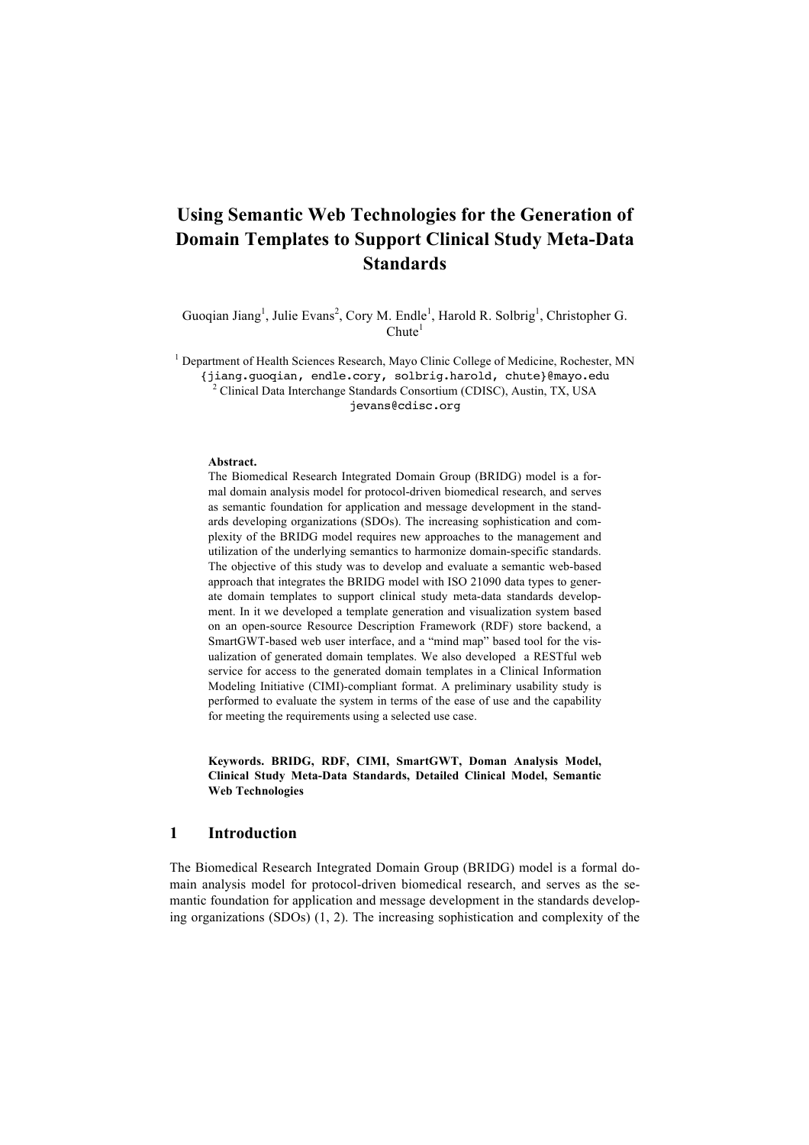# **Using Semantic Web Technologies for the Generation of Domain Templates to Support Clinical Study Meta-Data Standards**

Guoqian Jiang<sup>1</sup>, Julie Evans<sup>2</sup>, Cory M. Endle<sup>1</sup>, Harold R. Solbrig<sup>1</sup>, Christopher G.  $Chute<sup>1</sup>$ 

<sup>1</sup> Department of Health Sciences Research, Mayo Clinic College of Medicine, Rochester, MN

{jiang.guoqian, endle.cory, solbrig.harold, chute}@mayo.edu <sup>2</sup> Clinical Data Interchange Standards Consortium (CDISC), Austin, TX, USA jevans@cdisc.org

#### **Abstract.**

The Biomedical Research Integrated Domain Group (BRIDG) model is a formal domain analysis model for protocol-driven biomedical research, and serves as semantic foundation for application and message development in the standards developing organizations (SDOs). The increasing sophistication and complexity of the BRIDG model requires new approaches to the management and utilization of the underlying semantics to harmonize domain-specific standards. The objective of this study was to develop and evaluate a semantic web-based approach that integrates the BRIDG model with ISO 21090 data types to generate domain templates to support clinical study meta-data standards development. In it we developed a template generation and visualization system based on an open-source Resource Description Framework (RDF) store backend, a SmartGWT-based web user interface, and a "mind map" based tool for the visualization of generated domain templates. We also developed a RESTful web service for access to the generated domain templates in a Clinical Information Modeling Initiative (CIMI)-compliant format. A preliminary usability study is performed to evaluate the system in terms of the ease of use and the capability for meeting the requirements using a selected use case.

**Keywords. BRIDG, RDF, CIMI, SmartGWT, Doman Analysis Model, Clinical Study Meta-Data Standards, Detailed Clinical Model, Semantic Web Technologies**

### **1 Introduction**

The Biomedical Research Integrated Domain Group (BRIDG) model is a formal domain analysis model for protocol-driven biomedical research, and serves as the semantic foundation for application and message development in the standards developing organizations (SDOs) (1, 2). The increasing sophistication and complexity of the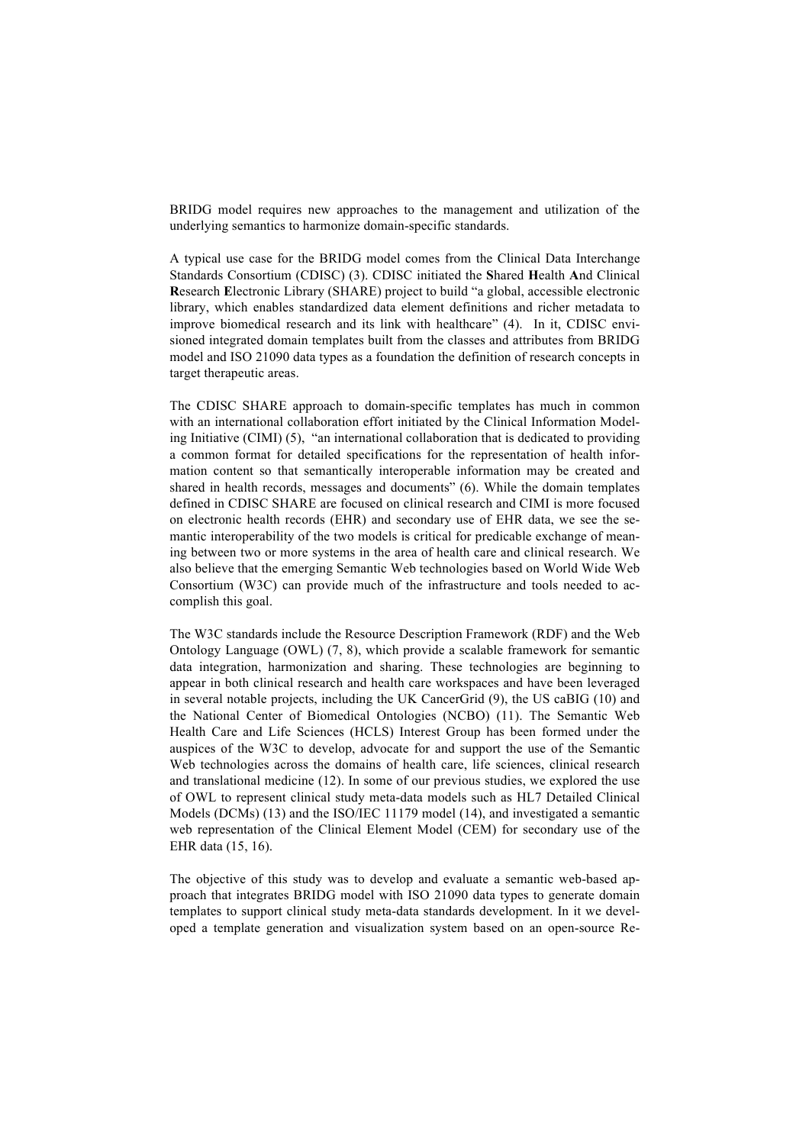BRIDG model requires new approaches to the management and utilization of the underlying semantics to harmonize domain-specific standards.

A typical use case for the BRIDG model comes from the Clinical Data Interchange Standards Consortium (CDISC) (3). CDISC initiated the **S**hared **H**ealth **A**nd Clinical **R**esearch **E**lectronic Library (SHARE) project to build "a global, accessible electronic library, which enables standardized data element definitions and richer metadata to improve biomedical research and its link with healthcare" (4). In it, CDISC envisioned integrated domain templates built from the classes and attributes from BRIDG model and ISO 21090 data types as a foundation the definition of research concepts in target therapeutic areas.

The CDISC SHARE approach to domain-specific templates has much in common with an international collaboration effort initiated by the Clinical Information Modeling Initiative (CIMI) (5), "an international collaboration that is dedicated to providing a common format for detailed specifications for the representation of health information content so that semantically interoperable information may be created and shared in health records, messages and documents" (6). While the domain templates defined in CDISC SHARE are focused on clinical research and CIMI is more focused on electronic health records (EHR) and secondary use of EHR data, we see the semantic interoperability of the two models is critical for predicable exchange of meaning between two or more systems in the area of health care and clinical research. We also believe that the emerging Semantic Web technologies based on World Wide Web Consortium (W3C) can provide much of the infrastructure and tools needed to accomplish this goal.

The W3C standards include the Resource Description Framework (RDF) and the Web Ontology Language (OWL) (7, 8), which provide a scalable framework for semantic data integration, harmonization and sharing. These technologies are beginning to appear in both clinical research and health care workspaces and have been leveraged in several notable projects, including the UK CancerGrid (9), the US caBIG (10) and the National Center of Biomedical Ontologies (NCBO) (11). The Semantic Web Health Care and Life Sciences (HCLS) Interest Group has been formed under the auspices of the W3C to develop, advocate for and support the use of the Semantic Web technologies across the domains of health care, life sciences, clinical research and translational medicine (12). In some of our previous studies, we explored the use of OWL to represent clinical study meta-data models such as HL7 Detailed Clinical Models (DCMs) (13) and the ISO/IEC 11179 model (14), and investigated a semantic web representation of the Clinical Element Model (CEM) for secondary use of the EHR data (15, 16).

The objective of this study was to develop and evaluate a semantic web-based approach that integrates BRIDG model with ISO 21090 data types to generate domain templates to support clinical study meta-data standards development. In it we developed a template generation and visualization system based on an open-source Re-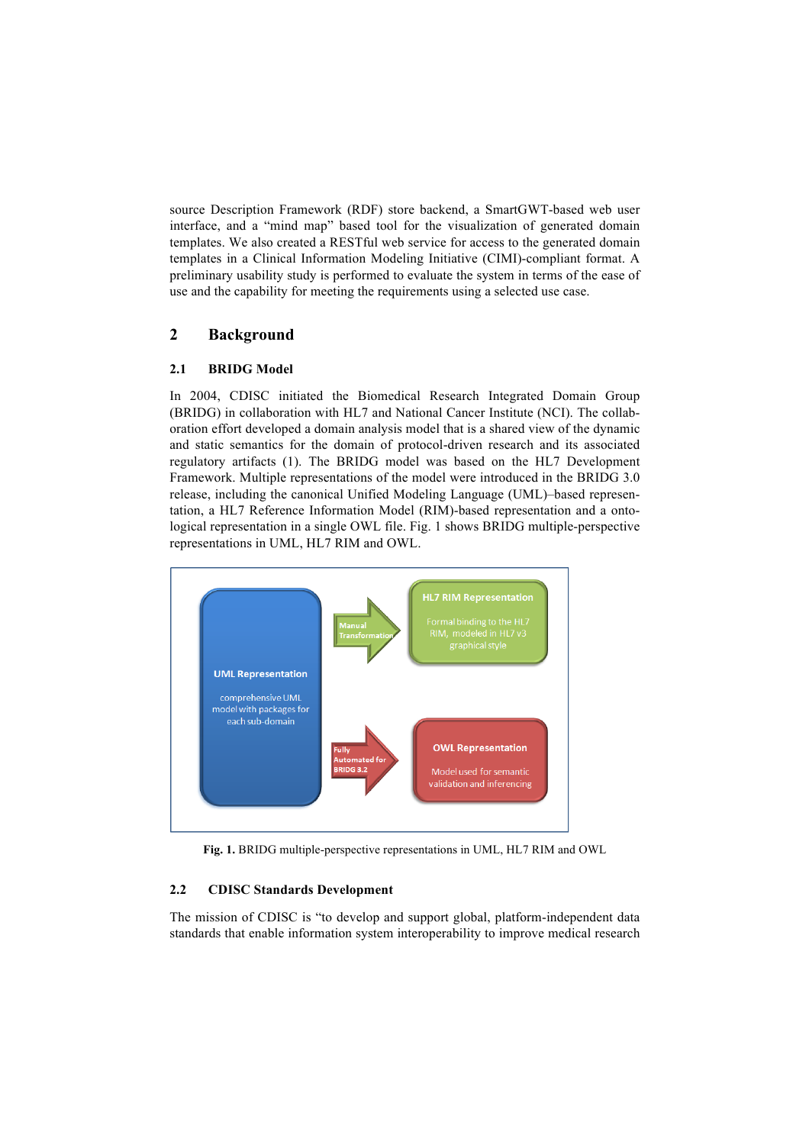source Description Framework (RDF) store backend, a SmartGWT-based web user interface, and a "mind map" based tool for the visualization of generated domain templates. We also created a RESTful web service for access to the generated domain templates in a Clinical Information Modeling Initiative (CIMI)-compliant format. A preliminary usability study is performed to evaluate the system in terms of the ease of use and the capability for meeting the requirements using a selected use case.

# **2 Background**

### **2.1 BRIDG Model**

In 2004, CDISC initiated the Biomedical Research Integrated Domain Group (BRIDG) in collaboration with HL7 and National Cancer Institute (NCI). The collaboration effort developed a domain analysis model that is a shared view of the dynamic and static semantics for the domain of protocol-driven research and its associated regulatory artifacts (1). The BRIDG model was based on the HL7 Development Framework. Multiple representations of the model were introduced in the BRIDG 3.0 release, including the canonical Unified Modeling Language (UML)–based representation, a HL7 Reference Information Model (RIM)-based representation and a ontological representation in a single OWL file. Fig. 1 shows BRIDG multiple-perspective representations in UML, HL7 RIM and OWL.



**Fig. 1.** BRIDG multiple-perspective representations in UML, HL7 RIM and OWL

### **2.2 CDISC Standards Development**

The mission of CDISC is "to develop and support global, platform-independent data standards that enable information system interoperability to improve medical research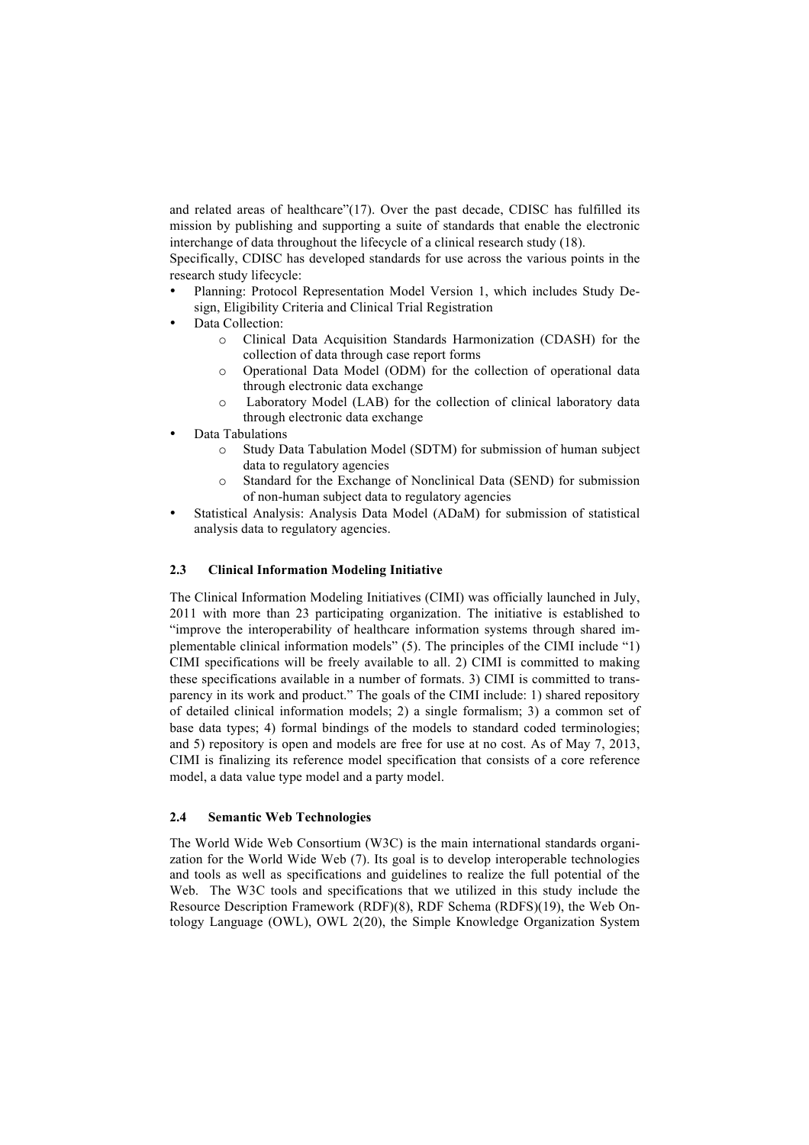and related areas of healthcare"(17). Over the past decade, CDISC has fulfilled its mission by publishing and supporting a suite of standards that enable the electronic interchange of data throughout the lifecycle of a clinical research study (18).

Specifically, CDISC has developed standards for use across the various points in the research study lifecycle:

- Planning: Protocol Representation Model Version 1, which includes Study Design, Eligibility Criteria and Clinical Trial Registration
- Data Collection:
	- o Clinical Data Acquisition Standards Harmonization (CDASH) for the collection of data through case report forms
	- o Operational Data Model (ODM) for the collection of operational data through electronic data exchange
	- o Laboratory Model (LAB) for the collection of clinical laboratory data through electronic data exchange
- Data Tabulations
	- o Study Data Tabulation Model (SDTM) for submission of human subject data to regulatory agencies
	- o Standard for the Exchange of Nonclinical Data (SEND) for submission of non-human subject data to regulatory agencies
- Statistical Analysis: Analysis Data Model (ADaM) for submission of statistical analysis data to regulatory agencies.

#### **2.3 Clinical Information Modeling Initiative**

The Clinical Information Modeling Initiatives (CIMI) was officially launched in July, 2011 with more than 23 participating organization. The initiative is established to "improve the interoperability of healthcare information systems through shared implementable clinical information models" (5). The principles of the CIMI include "1) CIMI specifications will be freely available to all. 2) CIMI is committed to making these specifications available in a number of formats. 3) CIMI is committed to transparency in its work and product." The goals of the CIMI include: 1) shared repository of detailed clinical information models; 2) a single formalism; 3) a common set of base data types; 4) formal bindings of the models to standard coded terminologies; and 5) repository is open and models are free for use at no cost. As of May 7, 2013, CIMI is finalizing its reference model specification that consists of a core reference model, a data value type model and a party model.

### **2.4 Semantic Web Technologies**

The World Wide Web Consortium (W3C) is the main international standards organization for the World Wide Web (7). Its goal is to develop interoperable technologies and tools as well as specifications and guidelines to realize the full potential of the Web. The W3C tools and specifications that we utilized in this study include the Resource Description Framework (RDF)(8), RDF Schema (RDFS)(19), the Web Ontology Language (OWL), OWL 2(20), the Simple Knowledge Organization System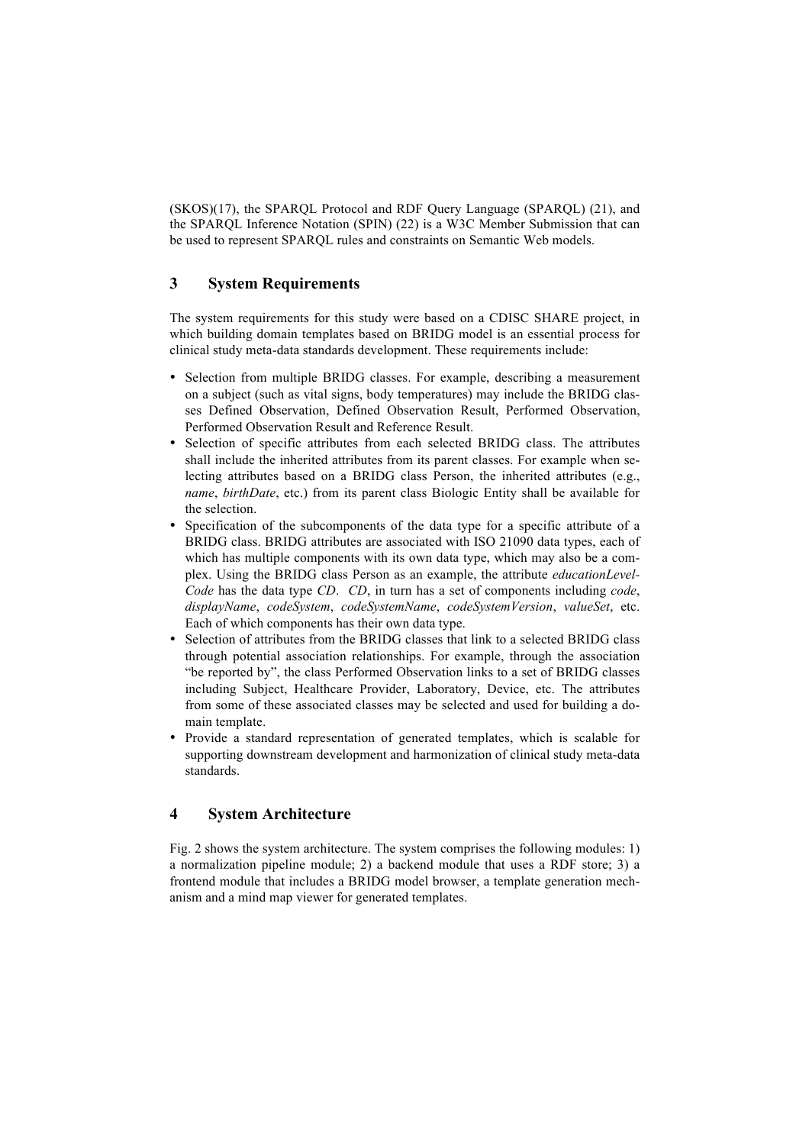(SKOS)(17), the SPARQL Protocol and RDF Query Language (SPARQL) (21), and the SPARQL Inference Notation (SPIN) (22) is a W3C Member Submission that can be used to represent SPARQL rules and constraints on Semantic Web models.

## **3 System Requirements**

The system requirements for this study were based on a CDISC SHARE project, in which building domain templates based on BRIDG model is an essential process for clinical study meta-data standards development. These requirements include:

- Selection from multiple BRIDG classes. For example, describing a measurement on a subject (such as vital signs, body temperatures) may include the BRIDG classes Defined Observation, Defined Observation Result, Performed Observation, Performed Observation Result and Reference Result.
- Selection of specific attributes from each selected BRIDG class. The attributes shall include the inherited attributes from its parent classes. For example when selecting attributes based on a BRIDG class Person, the inherited attributes (e.g., *name*, *birthDate*, etc.) from its parent class Biologic Entity shall be available for the selection.
- Specification of the subcomponents of the data type for a specific attribute of a BRIDG class. BRIDG attributes are associated with ISO 21090 data types, each of which has multiple components with its own data type, which may also be a complex. Using the BRIDG class Person as an example, the attribute *educationLevel-Code* has the data type *CD*. *CD*, in turn has a set of components including *code*, *displayName*, *codeSystem*, *codeSystemName*, *codeSystemVersion*, *valueSet*, etc. Each of which components has their own data type.
- Selection of attributes from the BRIDG classes that link to a selected BRIDG class through potential association relationships. For example, through the association "be reported by", the class Performed Observation links to a set of BRIDG classes including Subject, Healthcare Provider, Laboratory, Device, etc. The attributes from some of these associated classes may be selected and used for building a domain template.
- Provide a standard representation of generated templates, which is scalable for supporting downstream development and harmonization of clinical study meta-data standards.

### **4 System Architecture**

Fig. 2 shows the system architecture. The system comprises the following modules: 1) a normalization pipeline module; 2) a backend module that uses a RDF store; 3) a frontend module that includes a BRIDG model browser, a template generation mechanism and a mind map viewer for generated templates.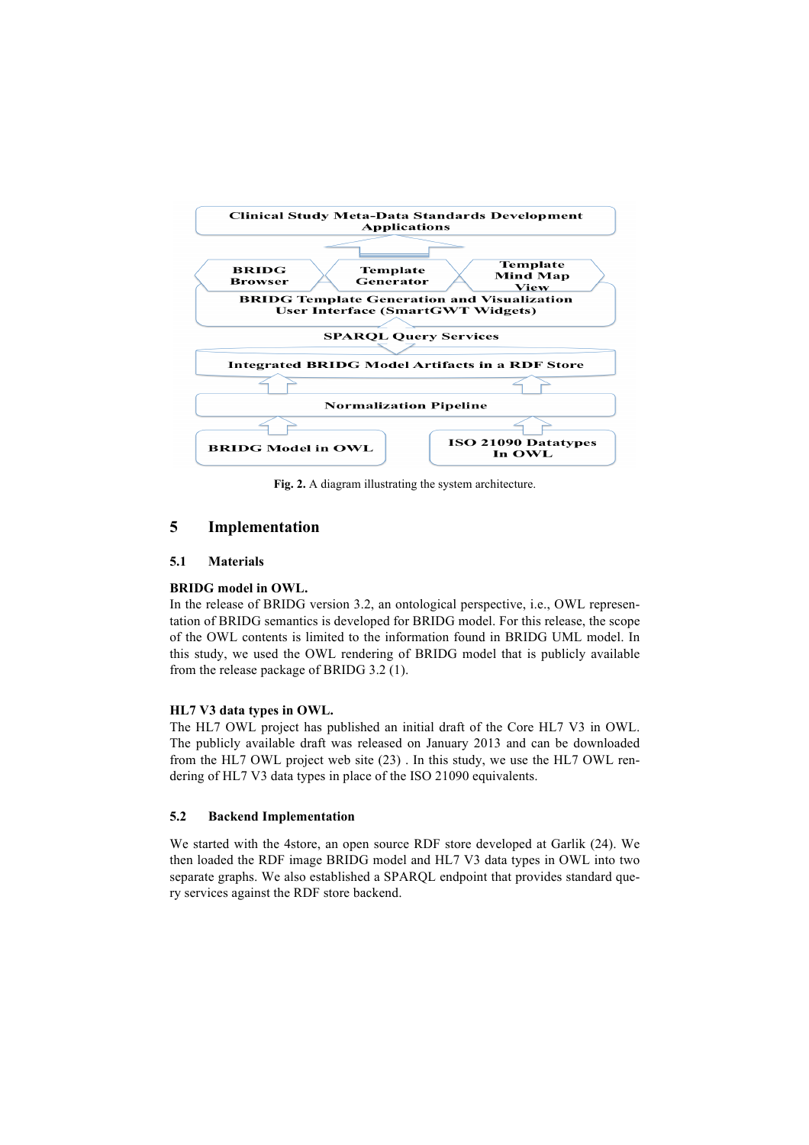

**Fig. 2.** A diagram illustrating the system architecture.

# **5 Implementation**

#### **5.1 Materials**

#### **BRIDG model in OWL.**

In the release of BRIDG version 3.2, an ontological perspective, i.e., OWL representation of BRIDG semantics is developed for BRIDG model. For this release, the scope of the OWL contents is limited to the information found in BRIDG UML model. In this study, we used the OWL rendering of BRIDG model that is publicly available from the release package of BRIDG 3.2 (1).

#### **HL7 V3 data types in OWL.**

The HL7 OWL project has published an initial draft of the Core HL7 V3 in OWL. The publicly available draft was released on January 2013 and can be downloaded from the HL7 OWL project web site (23) . In this study, we use the HL7 OWL rendering of HL7 V3 data types in place of the ISO 21090 equivalents.

#### **5.2 Backend Implementation**

We started with the 4store, an open source RDF store developed at Garlik (24). We then loaded the RDF image BRIDG model and HL7 V3 data types in OWL into two separate graphs. We also established a SPARQL endpoint that provides standard query services against the RDF store backend.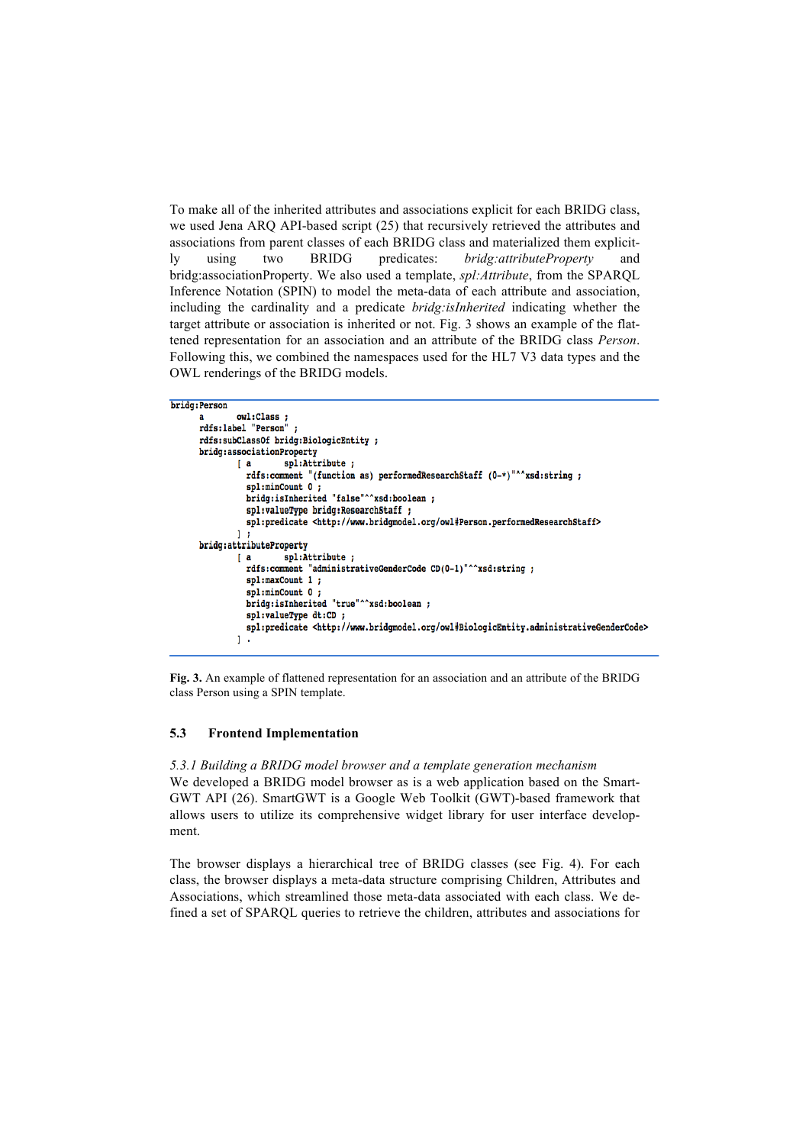To make all of the inherited attributes and associations explicit for each BRIDG class, we used Jena ARQ API-based script (25) that recursively retrieved the attributes and associations from parent classes of each BRIDG class and materialized them explicitly using two BRIDG predicates: *bridg:attributeProperty* and bridg:associationProperty. We also used a template, *spl:Attribute*, from the SPARQL Inference Notation (SPIN) to model the meta-data of each attribute and association, including the cardinality and a predicate *bridg:isInherited* indicating whether the target attribute or association is inherited or not. Fig. 3 shows an example of the flattened representation for an association and an attribute of the BRIDG class *Person*. Following this, we combined the namespaces used for the HL7 V3 data types and the OWL renderings of the BRIDG models.

```
bridg: Person
```

```
owl:Class
a
rdfs:label "Person" ;
rdfs:subClassOf bridg:BiologicEntity ;
bridg:associationProperty
                  spl:Attribute ;
        ^{a}rdfs:comment "(function as) performedResearchStaff (0-*)"^^xsd:string ;
          spl:minCount 0;
          bridg:isInherited "false"^^xsd:boolean;
          spl:valueType bridg:ResearchStaff ;
          spl:predicate <http://www.bridgmodel.org/owl#Person.performedResearchStaff>
        1<sub>1</sub>bridg:attributeProperty
                  spl:Attribute;
        ^{a}rdfs:comment "administrativeGenderCode CD(0-1)"^^xsd:string;
          spl:maxCount 1 :
          spl:minCount 0 :
          bridg:isInherited "true"^^xsd:boolean ;
          spl:valueType dt:CD
          spl:predicate <http://www.bridgmodel.org/owl#BiologicEntity.administrativeGenderCode>
        1.
```
**Fig. 3.** An example of flattened representation for an association and an attribute of the BRIDG class Person using a SPIN template.

#### **5.3 Frontend Implementation**

*5.3.1 Building a BRIDG model browser and a template generation mechanism* We developed a BRIDG model browser as is a web application based on the Smart-GWT API (26). SmartGWT is a Google Web Toolkit (GWT)-based framework that allows users to utilize its comprehensive widget library for user interface development.

The browser displays a hierarchical tree of BRIDG classes (see Fig. 4). For each class, the browser displays a meta-data structure comprising Children, Attributes and Associations, which streamlined those meta-data associated with each class. We defined a set of SPARQL queries to retrieve the children, attributes and associations for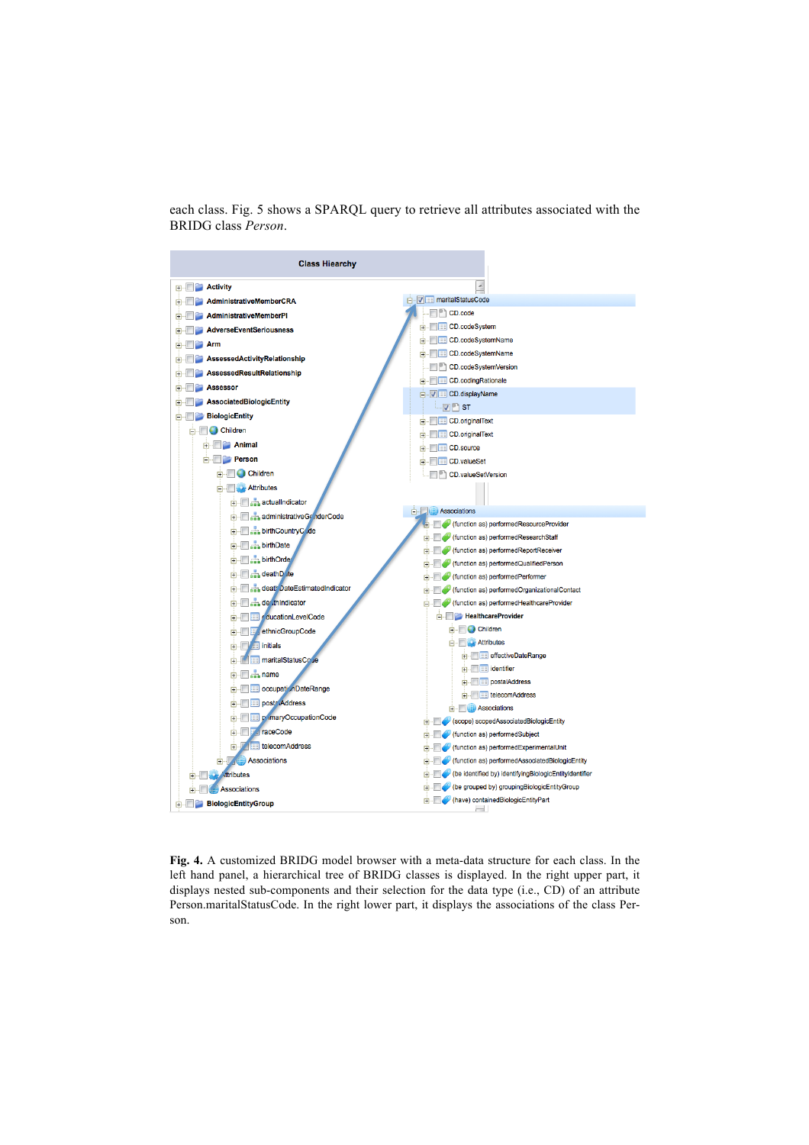each class. Fig. 5 shows a SPARQL query to retrieve all attributes associated with the BRIDG class *Person*.



**Fig. 4.** A customized BRIDG model browser with a meta-data structure for each class. In the left hand panel, a hierarchical tree of BRIDG classes is displayed. In the right upper part, it displays nested sub-components and their selection for the data type (i.e., CD) of an attribute Person.maritalStatusCode. In the right lower part, it displays the associations of the class Person.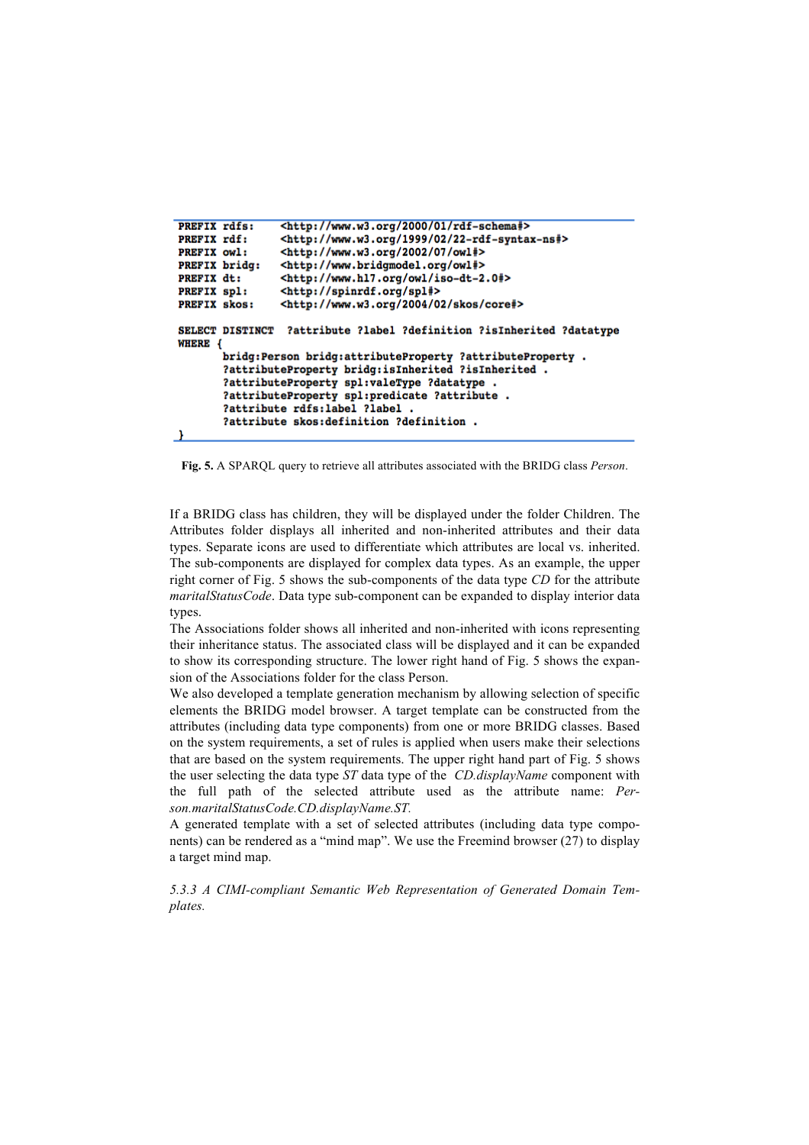```
PREFIX rdfs:
                <http://www.w3.org/2000/01/rdf-schema#>
PREFIX rdf:
                <http://www.w3.org/1999/02/22-rdf-syntax-ns#>
PREFIX owl:
                <http://www.w3.org/2002/07/owl#>
PREFIX bridg:
                <http://www.bridgmodel.org/owl#>
                <http://www.hl7.org/owl/iso-dt-2.0#>
PREFIX dt:
PREFIX spl:
                <http://spinrdf.org/spl#>
PREFIX skos:
                <http://www.w3.org/2004/02/skos/core#>
SELECT DISTINCT ?attribute ?label ?definition ?isInherited ?datatype
WHERE {
       bridg: Person bridg: attributeProperty ?attributeProperty .
       ?attributeProperty bridg:isInherited ?isInherited .
       ?attributeProperty spl:valeType ?datatype .
       ?attributeProperty spl:predicate ?attribute .
       ?attribute rdfs:label ?label .
       ?attribute skos:definition ?definition .
- 1
```
**Fig. 5.** A SPARQL query to retrieve all attributes associated with the BRIDG class *Person*.

If a BRIDG class has children, they will be displayed under the folder Children. The Attributes folder displays all inherited and non-inherited attributes and their data types. Separate icons are used to differentiate which attributes are local vs. inherited. The sub-components are displayed for complex data types. As an example, the upper right corner of Fig. 5 shows the sub-components of the data type *CD* for the attribute *maritalStatusCode*. Data type sub-component can be expanded to display interior data types.

The Associations folder shows all inherited and non-inherited with icons representing their inheritance status. The associated class will be displayed and it can be expanded to show its corresponding structure. The lower right hand of Fig. 5 shows the expansion of the Associations folder for the class Person.

We also developed a template generation mechanism by allowing selection of specific elements the BRIDG model browser. A target template can be constructed from the attributes (including data type components) from one or more BRIDG classes. Based on the system requirements, a set of rules is applied when users make their selections that are based on the system requirements. The upper right hand part of Fig. 5 shows the user selecting the data type *ST* data type of the *CD.displayName* component with the full path of the selected attribute used as the attribute name: *Person.maritalStatusCode.CD.displayName.ST.* 

A generated template with a set of selected attributes (including data type components) can be rendered as a "mind map". We use the Freemind browser (27) to display a target mind map.

*5.3.3 A CIMI-compliant Semantic Web Representation of Generated Domain Templates.*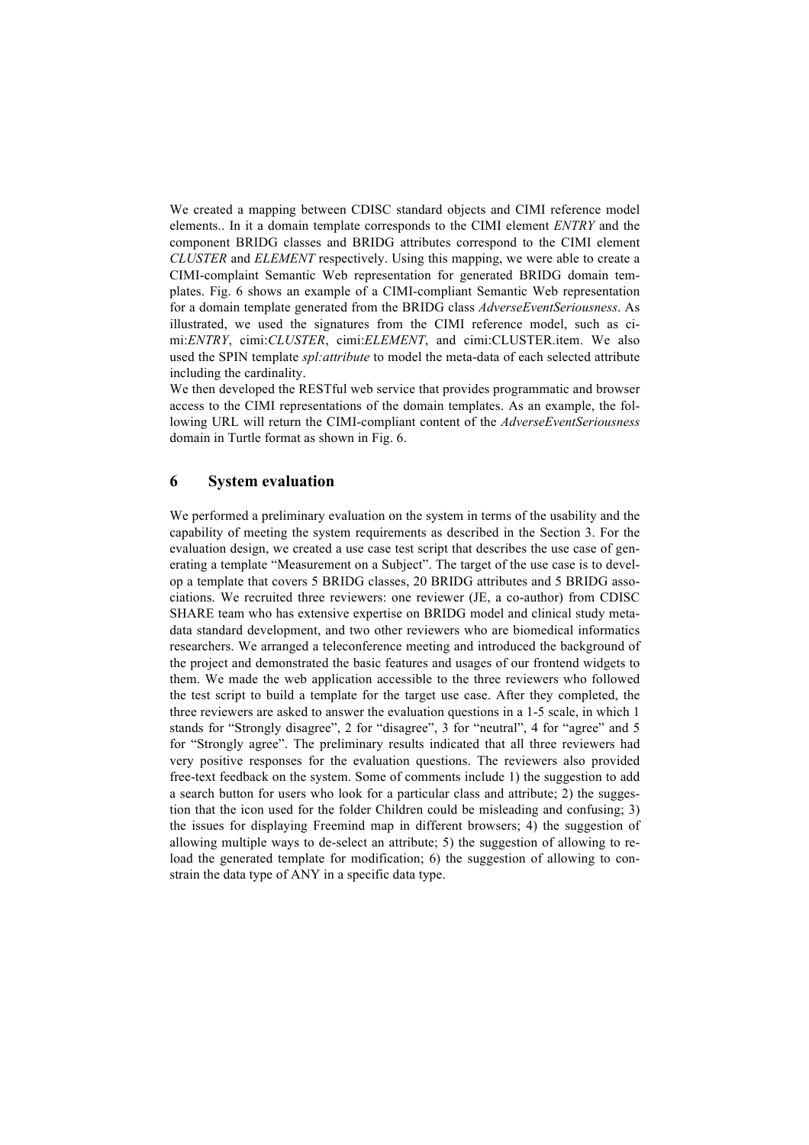We created a mapping between CDISC standard objects and CIMI reference model elements.. In it a domain template corresponds to the CIMI element *ENTRY* and the component BRIDG classes and BRIDG attributes correspond to the CIMI element *CLUSTER* and *ELEMENT* respectively. Using this mapping, we were able to create a CIMI-complaint Semantic Web representation for generated BRIDG domain templates. Fig. 6 shows an example of a CIMI-compliant Semantic Web representation for a domain template generated from the BRIDG class *AdverseEventSeriousness*. As illustrated, we used the signatures from the CIMI reference model, such as cimi:*ENTRY*, cimi:*CLUSTER*, cimi:*ELEMENT*, and cimi:CLUSTER.item. We also used the SPIN template *spl:attribute* to model the meta-data of each selected attribute including the cardinality.

We then developed the REST ful web service that provides programmatic and browser access to the CIMI representations of the domain templates. As an example, the following URL will return the CIMI-compliant content of the *AdverseEventSeriousness* domain in Turtle format as shown in Fig. 6.

#### **6 System evaluation**

We performed a preliminary evaluation on the system in terms of the usability and the capability of meeting the system requirements as described in the Section 3. For the evaluation design, we created a use case test script that describes the use case of generating a template "Measurement on a Subject". The target of the use case is to develop a template that covers 5 BRIDG classes, 20 BRIDG attributes and 5 BRIDG associations. We recruited three reviewers: one reviewer (JE, a co-author) from CDISC SHARE team who has extensive expertise on BRIDG model and clinical study metadata standard development, and two other reviewers who are biomedical informatics researchers. We arranged a teleconference meeting and introduced the background of the project and demonstrated the basic features and usages of our frontend widgets to them. We made the web application accessible to the three reviewers who followed the test script to build a template for the target use case. After they completed, the three reviewers are asked to answer the evaluation questions in a 1-5 scale, in which 1 stands for "Strongly disagree", 2 for "disagree", 3 for "neutral", 4 for "agree" and 5 for "Strongly agree". The preliminary results indicated that all three reviewers had very positive responses for the evaluation questions. The reviewers also provided free-text feedback on the system. Some of comments include 1) the suggestion to add a search button for users who look for a particular class and attribute; 2) the suggestion that the icon used for the folder Children could be misleading and confusing; 3) the issues for displaying Freemind map in different browsers; 4) the suggestion of allowing multiple ways to de-select an attribute; 5) the suggestion of allowing to reload the generated template for modification; 6) the suggestion of allowing to constrain the data type of ANY in a specific data type.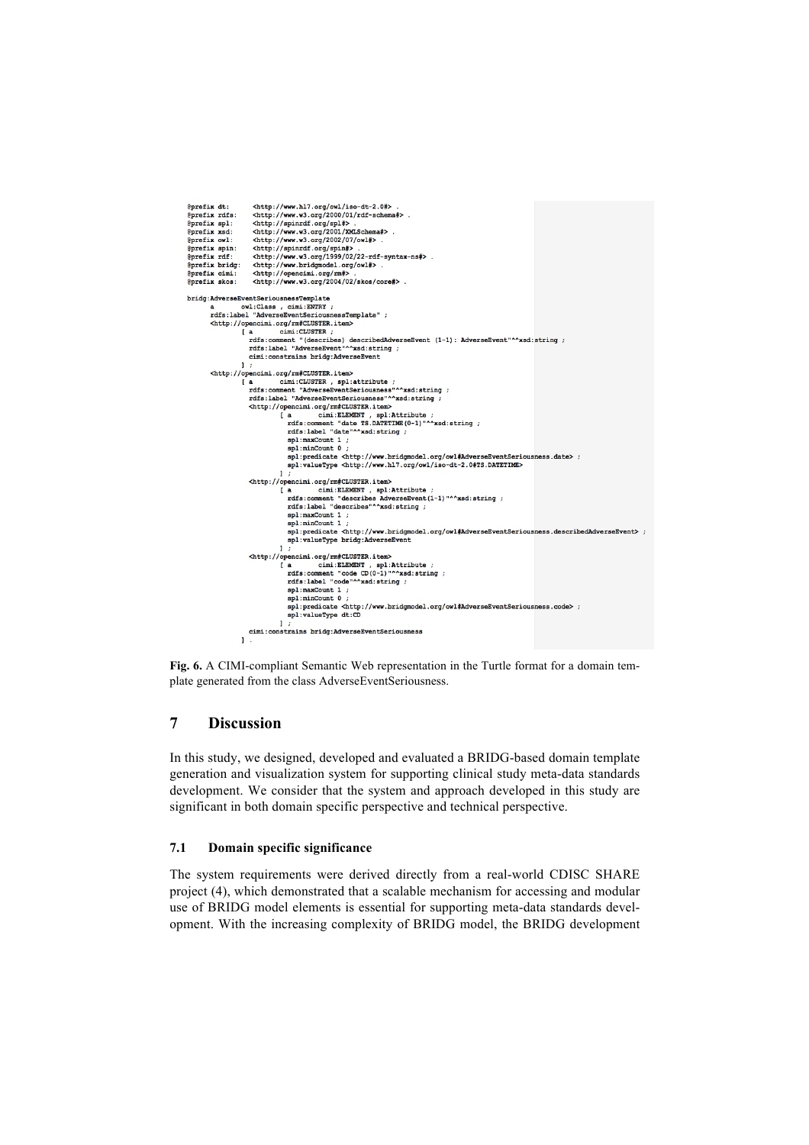```
\label{thm:main} $$ \chttp://www.w3.org/2000/01/raf-schema*}\chttp://www.w3.org/2000/01/raf-schema*}\chttp://www.w3.org/g1#)\chttp://www.w3.org/2001/XBchema*}\chttp://www.w3.org/2002/07/owl*}\chttp://www.w3.org/2002/07/owl*}\chttp://www.w3.org/1999/02/22-rdf-syntax-nsf}\chttp://www.w3.org/1999/02/22-rdf-syntax-nsf}\chttp://www.n3.org/1999/02/22-rdf-syntax-nsf}\chttp://www.h3.org@prefix dt:
@prefix dt:<br>@prefix rdfs:<br>@prefix spl:<br>@prefix soi:<br>@prefix spin:
@prefix rdf:
@prefix bridg:
                                                  <http://opencimi.org/rm#> .<br><http://opencimi.org/rm#> .
Rorefix cimi:
 @prefix skos:
\begin{minipage}[c]{0.03\textwidth} \begin{minipage}[c]{0.03\textwidth} \begin{itemize} \begin{itemize} \begin{itemize} \begin{itemize} \end{itemize} \end{itemize} \end{itemize} \end{minipage} \begin{minipage}[c]{0.03\textwidth} \begin{itemize} \end{itemize} \end{minipage} \begin{minipage}[c]{0.03\textwidth} \begin{itemize} \end{itemize} \end{minipage} \begin{minipage}[c]{0.03\textwidth} \begin{itemize} \end{itemize} \end{minipage} \begin{minipage}[c]{0.03\textwidth} \begin{itemize} \end{itemize}cimi: constrains bridg: AdverseEvent
                  <http://opencimi.org/rm#CLUSTER.item>
                                               %PROLEN..org/EMBCLUSTER..1CEMP<br>a cimi:CLUSTER, spl:attribute ;<br>rdfs:comment "AdverseEventSeriousness"^^xsd:string<br>rdfs:label "AdverseEventSeriousness"^^xsd:string ;
                                        \begin{bmatrix} a \end{bmatrix},<br>"^^xsd:string ;<br>^~~d:string ;
                                               xus:.asert Adverterior Controllers and Schip://opencine.org/rm#CLUSTER.item><br>
(a cimi:ELEMENT , spl:Attribute ;<br>
[a cimi:ELEMENT , spl:Attribute ;<br>
rdfs:comment "date"^xsd:string ;<br>
rdfs:label "date"^xsd:string ;
                                                                            spl:maxCount 1 ;
                                                                             spl:minCount 0
                                                                           \begin{array}{c} \texttt{!} \\ \texttt{!} \\ \texttt{!} \\ \texttt{!} \\ \texttt{!} \\ \texttt{!} \\ \texttt{!} \\ \texttt{!} \\ \texttt{!} \\ \texttt{!} \\ \texttt{!} \\ \texttt{!} \\ \texttt{!} \\ \texttt{!} \\ \texttt{!} \\ \texttt{!} \\ \texttt{!} \\ \texttt{!} \\ \texttt{!} \\ \texttt{!} \\ \texttt{!} \\ \texttt{!} \\ \texttt{!} \\ \texttt{!} \\ \texttt{!} \\ \texttt{!} \\ \texttt{!} \\ \texttt{!} \\ \texttt{!} \\ \texttt{!} \\ \textttpenonn.org/mm#Lubuskx.item><br>a cimi:ELEMENT, spl:Attribute ;<br>rdfs:comment "describes AdverseEvent(1-1)"^^xsd:string ;<br>rdfs:label "describes"^^xsd:string ;<br>spl:maxCount 1 ;<br>spl:minCount 1 ;
                                                                      r a
                                                                            spl:predicate <http://www.bridgmodel.org/owl#AdverseEventSeriousness.describedAdverseEvent>
                                                                            spl:valueType bridg:AdverseEvent
                                               \label{thm:main} $$ \Sth\left(\begin{array}{c|c} \mathsf{CUISTER}.\mathsf{item}\right) \quad \text{inif } \mathsf{RUISTER} \text{ is a similarly independent.} $$ \mathsf{R}:\mathsf{R}:\mathsf{H}\to\mathsf{R} \quad \text{inif } \mathsf{R} \quad \text{if } \mathsf{R}:\mathsf{H}\to\mathsf{H} \quad \text{if } \mathsf{R} \end{array} \right) \quad \text{and} $$% = 1. mar Count 1<br>spl:maxCount 1<br>spl:maxCount 1<br>spl:maxCount 1<br>spl:predicate <http://www.bridgmodel.org/owl#AdverseEventSeriousness.code>
                                                                            spl:valueType dt:CD
                                                                     \overline{1}cimi: constrains bridg: AdverseEventSeriousness
                                        \mathbf{I}
```
**Fig. 6.** A CIMI-compliant Semantic Web representation in the Turtle format for a domain template generated from the class AdverseEventSeriousness.

# **7 Discussion**

In this study, we designed, developed and evaluated a BRIDG-based domain template generation and visualization system for supporting clinical study meta-data standards development. We consider that the system and approach developed in this study are significant in both domain specific perspective and technical perspective.

### **7.1 Domain specific significance**

The system requirements were derived directly from a real-world CDISC SHARE project (4), which demonstrated that a scalable mechanism for accessing and modular use of BRIDG model elements is essential for supporting meta-data standards development. With the increasing complexity of BRIDG model, the BRIDG development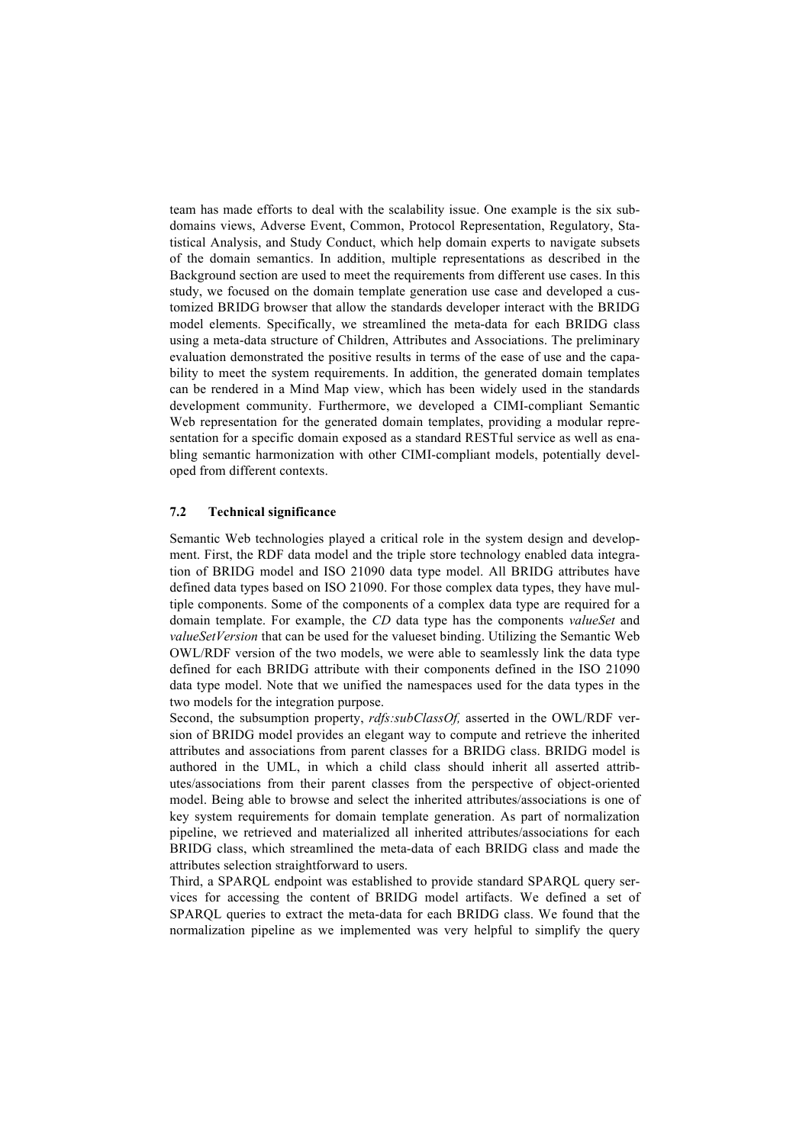team has made efforts to deal with the scalability issue. One example is the six subdomains views, Adverse Event, Common, Protocol Representation, Regulatory, Statistical Analysis, and Study Conduct, which help domain experts to navigate subsets of the domain semantics. In addition, multiple representations as described in the Background section are used to meet the requirements from different use cases. In this study, we focused on the domain template generation use case and developed a customized BRIDG browser that allow the standards developer interact with the BRIDG model elements. Specifically, we streamlined the meta-data for each BRIDG class using a meta-data structure of Children, Attributes and Associations. The preliminary evaluation demonstrated the positive results in terms of the ease of use and the capability to meet the system requirements. In addition, the generated domain templates can be rendered in a Mind Map view, which has been widely used in the standards development community. Furthermore, we developed a CIMI-compliant Semantic Web representation for the generated domain templates, providing a modular representation for a specific domain exposed as a standard RESTful service as well as enabling semantic harmonization with other CIMI-compliant models, potentially developed from different contexts.

#### **7.2 Technical significance**

Semantic Web technologies played a critical role in the system design and development. First, the RDF data model and the triple store technology enabled data integration of BRIDG model and ISO 21090 data type model. All BRIDG attributes have defined data types based on ISO 21090. For those complex data types, they have multiple components. Some of the components of a complex data type are required for a domain template. For example, the *CD* data type has the components *valueSet* and *valueSetVersion* that can be used for the valueset binding. Utilizing the Semantic Web OWL/RDF version of the two models, we were able to seamlessly link the data type defined for each BRIDG attribute with their components defined in the ISO 21090 data type model. Note that we unified the namespaces used for the data types in the two models for the integration purpose.

Second, the subsumption property, *rdfs:subClassOf,* asserted in the OWL/RDF version of BRIDG model provides an elegant way to compute and retrieve the inherited attributes and associations from parent classes for a BRIDG class. BRIDG model is authored in the UML, in which a child class should inherit all asserted attributes/associations from their parent classes from the perspective of object-oriented model. Being able to browse and select the inherited attributes/associations is one of key system requirements for domain template generation. As part of normalization pipeline, we retrieved and materialized all inherited attributes/associations for each BRIDG class, which streamlined the meta-data of each BRIDG class and made the attributes selection straightforward to users.

Third, a SPARQL endpoint was established to provide standard SPARQL query services for accessing the content of BRIDG model artifacts. We defined a set of SPARQL queries to extract the meta-data for each BRIDG class. We found that the normalization pipeline as we implemented was very helpful to simplify the query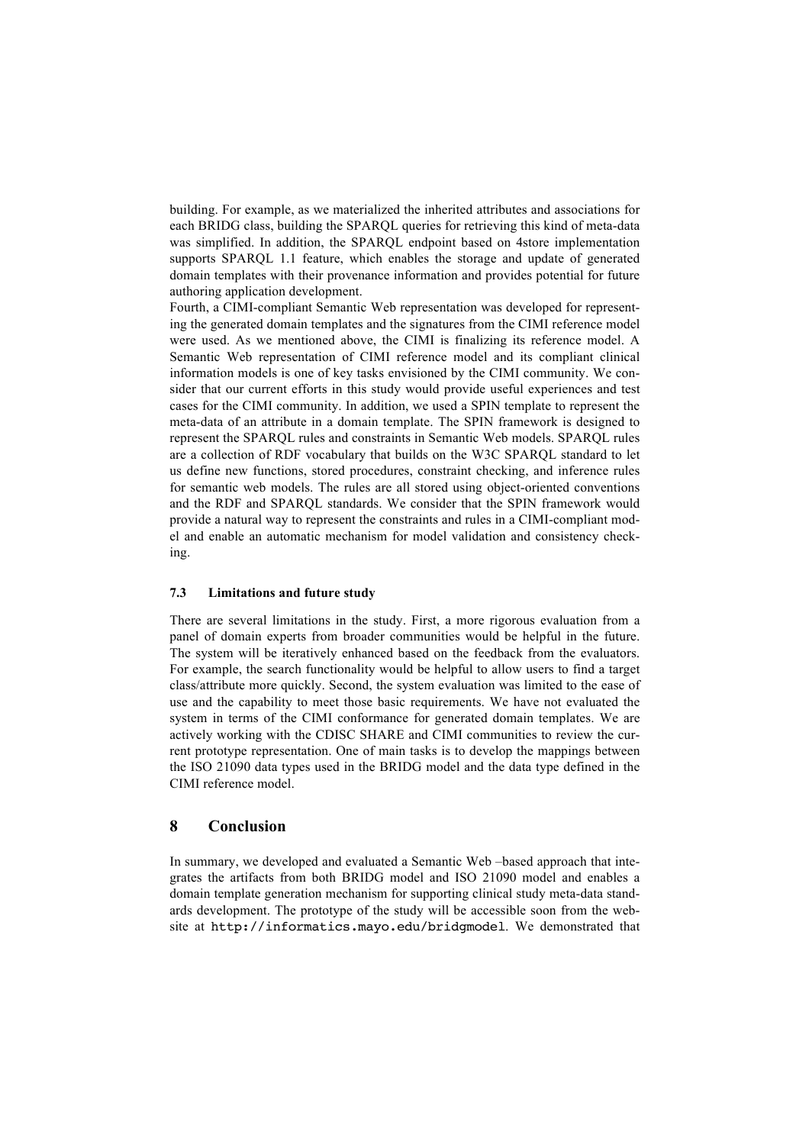building. For example, as we materialized the inherited attributes and associations for each BRIDG class, building the SPARQL queries for retrieving this kind of meta-data was simplified. In addition, the SPARQL endpoint based on 4store implementation supports SPARQL 1.1 feature, which enables the storage and update of generated domain templates with their provenance information and provides potential for future authoring application development.

Fourth, a CIMI-compliant Semantic Web representation was developed for representing the generated domain templates and the signatures from the CIMI reference model were used. As we mentioned above, the CIMI is finalizing its reference model. A Semantic Web representation of CIMI reference model and its compliant clinical information models is one of key tasks envisioned by the CIMI community. We consider that our current efforts in this study would provide useful experiences and test cases for the CIMI community. In addition, we used a SPIN template to represent the meta-data of an attribute in a domain template. The SPIN framework is designed to represent the SPARQL rules and constraints in Semantic Web models. SPARQL rules are a collection of RDF vocabulary that builds on the W3C SPARQL standard to let us define new functions, stored procedures, constraint checking, and inference rules for semantic web models. The rules are all stored using object-oriented conventions and the RDF and SPARQL standards. We consider that the SPIN framework would provide a natural way to represent the constraints and rules in a CIMI-compliant model and enable an automatic mechanism for model validation and consistency checking.

#### **7.3 Limitations and future study**

There are several limitations in the study. First, a more rigorous evaluation from a panel of domain experts from broader communities would be helpful in the future. The system will be iteratively enhanced based on the feedback from the evaluators. For example, the search functionality would be helpful to allow users to find a target class/attribute more quickly. Second, the system evaluation was limited to the ease of use and the capability to meet those basic requirements. We have not evaluated the system in terms of the CIMI conformance for generated domain templates. We are actively working with the CDISC SHARE and CIMI communities to review the current prototype representation. One of main tasks is to develop the mappings between the ISO 21090 data types used in the BRIDG model and the data type defined in the CIMI reference model.

## **8 Conclusion**

In summary, we developed and evaluated a Semantic Web –based approach that integrates the artifacts from both BRIDG model and ISO 21090 model and enables a domain template generation mechanism for supporting clinical study meta-data standards development. The prototype of the study will be accessible soon from the website at http://informatics.mayo.edu/bridgmodel. We demonstrated that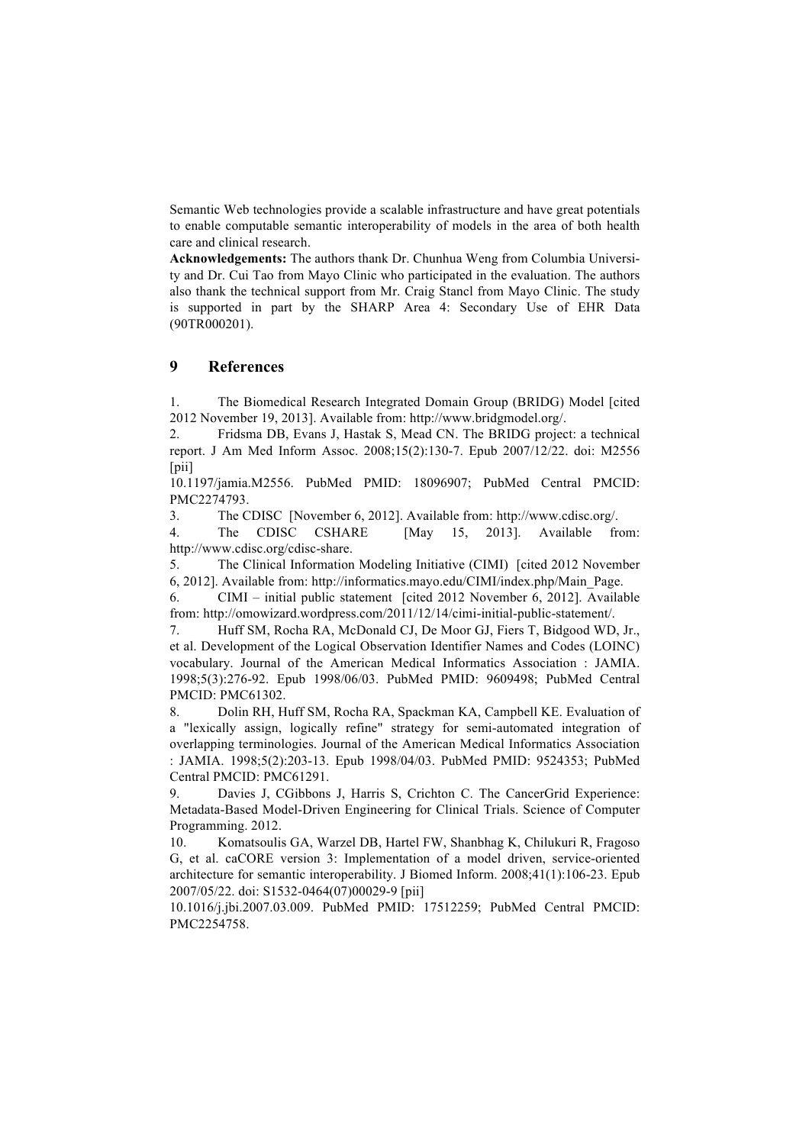Semantic Web technologies provide a scalable infrastructure and have great potentials to enable computable semantic interoperability of models in the area of both health care and clinical research.

**Acknowledgements:** The authors thank Dr. Chunhua Weng from Columbia University and Dr. Cui Tao from Mayo Clinic who participated in the evaluation. The authors also thank the technical support from Mr. Craig Stancl from Mayo Clinic. The study is supported in part by the SHARP Area 4: Secondary Use of EHR Data (90TR000201).

# **9 References**

1. The Biomedical Research Integrated Domain Group (BRIDG) Model [cited 2012 November 19, 2013]. Available from: http://www.bridgmodel.org/.

2. Fridsma DB, Evans J, Hastak S, Mead CN. The BRIDG project: a technical report. J Am Med Inform Assoc. 2008;15(2):130-7. Epub 2007/12/22. doi: M2556 [pii]

10.1197/jamia.M2556. PubMed PMID: 18096907; PubMed Central PMCID: PMC2274793.

3. The CDISC [November 6, 2012]. Available from: http://www.cdisc.org/.

4. The CDISC CSHARE [May 15, 2013]. Available from: http://www.cdisc.org/cdisc-share.

5. The Clinical Information Modeling Initiative (CIMI) [cited 2012 November 6, 2012]. Available from: http://informatics.mayo.edu/CIMI/index.php/Main\_Page.

6. CIMI – initial public statement [cited 2012 November 6, 2012]. Available from: http://omowizard.wordpress.com/2011/12/14/cimi-initial-public-statement/.

7. Huff SM, Rocha RA, McDonald CJ, De Moor GJ, Fiers T, Bidgood WD, Jr., et al. Development of the Logical Observation Identifier Names and Codes (LOINC) vocabulary. Journal of the American Medical Informatics Association : JAMIA. 1998;5(3):276-92. Epub 1998/06/03. PubMed PMID: 9609498; PubMed Central PMCID: PMC61302.

8. Dolin RH, Huff SM, Rocha RA, Spackman KA, Campbell KE. Evaluation of a "lexically assign, logically refine" strategy for semi-automated integration of overlapping terminologies. Journal of the American Medical Informatics Association : JAMIA. 1998;5(2):203-13. Epub 1998/04/03. PubMed PMID: 9524353; PubMed Central PMCID: PMC61291.

Davies J, CGibbons J, Harris S, Crichton C. The CancerGrid Experience: Metadata-Based Model-Driven Engineering for Clinical Trials. Science of Computer Programming. 2012.

10. Komatsoulis GA, Warzel DB, Hartel FW, Shanbhag K, Chilukuri R, Fragoso G, et al. caCORE version 3: Implementation of a model driven, service-oriented architecture for semantic interoperability. J Biomed Inform. 2008;41(1):106-23. Epub 2007/05/22. doi: S1532-0464(07)00029-9 [pii]

10.1016/j.jbi.2007.03.009. PubMed PMID: 17512259; PubMed Central PMCID: PMC2254758.